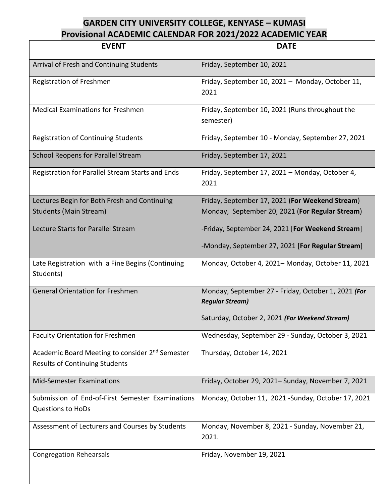## **GARDEN CITY UNIVERSITY COLLEGE, KENYASE – KUMASI Provisional ACADEMIC CALENDAR FOR 2021/2022 ACADEMIC YEAR**

| <b>EVENT</b>                                                                                         | <b>DATE</b>                                                                   |
|------------------------------------------------------------------------------------------------------|-------------------------------------------------------------------------------|
| Arrival of Fresh and Continuing Students                                                             | Friday, September 10, 2021                                                    |
| Registration of Freshmen                                                                             | Friday, September 10, 2021 - Monday, October 11,<br>2021                      |
| <b>Medical Examinations for Freshmen</b>                                                             | Friday, September 10, 2021 (Runs throughout the<br>semester)                  |
| <b>Registration of Continuing Students</b>                                                           | Friday, September 10 - Monday, September 27, 2021                             |
| <b>School Reopens for Parallel Stream</b>                                                            | Friday, September 17, 2021                                                    |
| Registration for Parallel Stream Starts and Ends                                                     | Friday, September 17, 2021 - Monday, October 4,<br>2021                       |
| Lectures Begin for Both Fresh and Continuing                                                         | Friday, September 17, 2021 (For Weekend Stream)                               |
| <b>Students (Main Stream)</b>                                                                        | Monday, September 20, 2021 (For Regular Stream)                               |
| Lecture Starts for Parallel Stream                                                                   | -Friday, September 24, 2021 [For Weekend Stream]                              |
|                                                                                                      | -Monday, September 27, 2021 [For Regular Stream]                              |
| Late Registration with a Fine Begins (Continuing<br>Students)                                        | Monday, October 4, 2021-Monday, October 11, 2021                              |
| <b>General Orientation for Freshmen</b>                                                              | Monday, September 27 - Friday, October 1, 2021 (For<br><b>Regular Stream)</b> |
|                                                                                                      | Saturday, October 2, 2021 (For Weekend Stream)                                |
| <b>Faculty Orientation for Freshmen</b>                                                              | Wednesday, September 29 - Sunday, October 3, 2021                             |
| Academic Board Meeting to consider 2 <sup>nd</sup> Semester<br><b>Results of Continuing Students</b> | Thursday, October 14, 2021                                                    |
| <b>Mid-Semester Examinations</b>                                                                     | Friday, October 29, 2021- Sunday, November 7, 2021                            |
| Submission of End-of-First Semester Examinations<br><b>Questions to HoDs</b>                         | Monday, October 11, 2021 -Sunday, October 17, 2021                            |
| Assessment of Lecturers and Courses by Students                                                      | Monday, November 8, 2021 - Sunday, November 21,<br>2021.                      |
| <b>Congregation Rehearsals</b>                                                                       | Friday, November 19, 2021                                                     |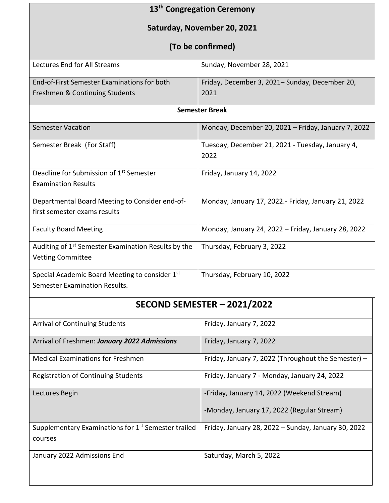| 13 <sup>th</sup> Congregation Ceremony                                                      |                                                          |  |
|---------------------------------------------------------------------------------------------|----------------------------------------------------------|--|
| Saturday, November 20, 2021                                                                 |                                                          |  |
| (To be confirmed)                                                                           |                                                          |  |
| Lectures End for All Streams                                                                | Sunday, November 28, 2021                                |  |
| End-of-First Semester Examinations for both<br>Freshmen & Continuing Students               | Friday, December 3, 2021– Sunday, December 20,<br>2021   |  |
| <b>Semester Break</b>                                                                       |                                                          |  |
| <b>Semester Vacation</b>                                                                    | Monday, December 20, 2021 - Friday, January 7, 2022      |  |
| Semester Break (For Staff)                                                                  | Tuesday, December 21, 2021 - Tuesday, January 4,<br>2022 |  |
| Deadline for Submission of 1 <sup>st</sup> Semester<br><b>Examination Results</b>           | Friday, January 14, 2022                                 |  |
| Departmental Board Meeting to Consider end-of-<br>first semester exams results              | Monday, January 17, 2022.- Friday, January 21, 2022      |  |
| <b>Faculty Board Meeting</b>                                                                | Monday, January 24, 2022 - Friday, January 28, 2022      |  |
| Auditing of 1 <sup>st</sup> Semester Examination Results by the<br><b>Vetting Committee</b> | Thursday, February 3, 2022                               |  |
| Special Academic Board Meeting to consider 1st<br>Semester Examination Results.             | Thursday, February 10, 2022                              |  |
| SECOND SEMESTER - 2021/2022                                                                 |                                                          |  |
| <b>Arrival of Continuing Students</b>                                                       | Friday, January 7, 2022                                  |  |
| Arrival of Freshmen: January 2022 Admissions                                                | Friday, January 7, 2022                                  |  |
| <b>Medical Examinations for Freshmen</b>                                                    | Friday, January 7, 2022 (Throughout the Semester) -      |  |
| <b>Registration of Continuing Students</b>                                                  | Friday, January 7 - Monday, January 24, 2022             |  |
|                                                                                             |                                                          |  |

| <b>Registration of Continuing Students</b>                      | Friday, January 7 - Monday, January 24, 2022        |
|-----------------------------------------------------------------|-----------------------------------------------------|
| Lectures Begin                                                  | -Friday, January 14, 2022 (Weekend Stream)          |
|                                                                 | -Monday, January 17, 2022 (Regular Stream)          |
| Supplementary Examinations for 1 <sup>st</sup> Semester trailed | Friday, January 28, 2022 – Sunday, January 30, 2022 |
| courses                                                         |                                                     |
| January 2022 Admissions End                                     | Saturday, March 5, 2022                             |
|                                                                 |                                                     |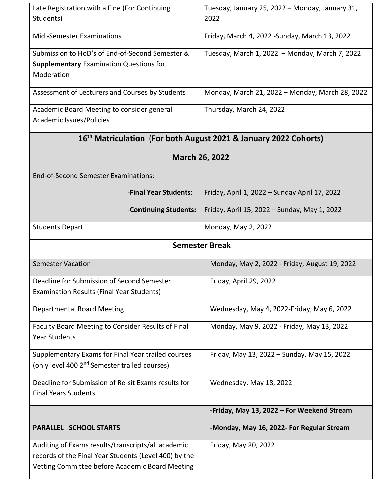| Late Registration with a Fine (For Continuing<br>Students)                                                      | Tuesday, January 25, 2022 - Monday, January 31,<br>2022 |  |
|-----------------------------------------------------------------------------------------------------------------|---------------------------------------------------------|--|
| <b>Mid-Semester Examinations</b>                                                                                | Friday, March 4, 2022 - Sunday, March 13, 2022          |  |
| Submission to HoD's of End-of-Second Semester &<br><b>Supplementary Examination Questions for</b><br>Moderation | Tuesday, March 1, 2022 - Monday, March 7, 2022          |  |
| Assessment of Lecturers and Courses by Students                                                                 | Monday, March 21, 2022 - Monday, March 28, 2022         |  |
| Academic Board Meeting to consider general<br>Academic Issues/Policies                                          | Thursday, March 24, 2022                                |  |
| 16 <sup>th</sup> Matriculation (For both August 2021 & January 2022 Cohorts)                                    |                                                         |  |
| March 26, 2022                                                                                                  |                                                         |  |
| End-of-Second Semester Examinations:                                                                            |                                                         |  |
| -Final Year Students:                                                                                           | Friday, April 1, 2022 - Sunday April 17, 2022           |  |
| -Continuing Students:                                                                                           | Friday, April 15, 2022 - Sunday, May 1, 2022            |  |
| <b>Students Depart</b>                                                                                          | Monday, May 2, 2022                                     |  |
| <b>Semester Break</b>                                                                                           |                                                         |  |
| <b>Semester Vacation</b>                                                                                        | Monday, May 2, 2022 - Friday, August 19, 2022           |  |
| Deadline for Submission of Second Semester<br>Examination Results (Final Year Students)                         | Friday, April 29, 2022                                  |  |
| <b>Departmental Board Meeting</b>                                                                               | Wednesday, May 4, 2022-Friday, May 6, 2022              |  |
| Faculty Board Meeting to Consider Results of Final<br><b>Year Students</b>                                      | Monday, May 9, 2022 - Friday, May 13, 2022              |  |
| Supplementary Exams for Final Year trailed courses<br>(only level 400 2 <sup>nd</sup> Semester trailed courses) | Friday, May 13, 2022 - Sunday, May 15, 2022             |  |
| Deadline for Submission of Re-sit Exams results for<br><b>Final Years Students</b>                              | Wednesday, May 18, 2022                                 |  |
|                                                                                                                 | -Friday, May 13, 2022 - For Weekend Stream              |  |
| <b>PARALLEL SCHOOL STARTS</b>                                                                                   |                                                         |  |
|                                                                                                                 | -Monday, May 16, 2022- For Regular Stream               |  |